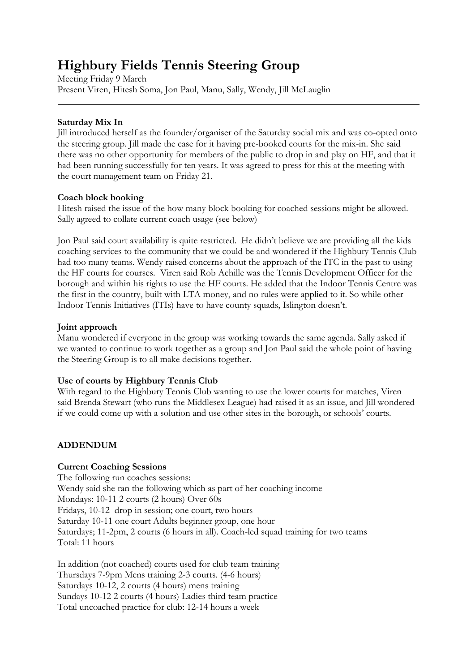# **Highbury Fields Tennis Steering Group**

Meeting Friday 9 March Present Viren, Hitesh Soma, Jon Paul, Manu, Sally, Wendy, Jill McLauglin

#### **Saturday Mix In**

Jill introduced herself as the founder/organiser of the Saturday social mix and was co-opted onto the steering group. Jill made the case for it having pre-booked courts for the mix-in. She said there was no other opportunity for members of the public to drop in and play on HF, and that it had been running successfully for ten years. It was agreed to press for this at the meeting with the court management team on Friday 21.

#### **Coach block booking**

Hitesh raised the issue of the how many block booking for coached sessions might be allowed. Sally agreed to collate current coach usage (see below)

Jon Paul said court availability is quite restricted. He didn't believe we are providing all the kids coaching services to the community that we could be and wondered if the Highbury Tennis Club had too many teams. Wendy raised concerns about the approach of the ITC in the past to using the HF courts for courses. Viren said Rob Achille was the Tennis Development Officer for the borough and within his rights to use the HF courts. He added that the Indoor Tennis Centre was the first in the country, built with LTA money, and no rules were applied to it. So while other Indoor Tennis Initiatives (ITIs) have to have county squads, Islington doesn't.

#### **Joint approach**

Manu wondered if everyone in the group was working towards the same agenda. Sally asked if we wanted to continue to work together as a group and Jon Paul said the whole point of having the Steering Group is to all make decisions together.

## **Use of courts by Highbury Tennis Club**

With regard to the Highbury Tennis Club wanting to use the lower courts for matches, Viren said Brenda Stewart (who runs the Middlesex League) had raised it as an issue, and Jill wondered if we could come up with a solution and use other sites in the borough, or schools' courts.

## **ADDENDUM**

## **Current Coaching Sessions**

The following run coaches sessions: Wendy said she ran the following which as part of her coaching income Mondays: 10-11 2 courts (2 hours) Over 60s Fridays, 10-12 drop in session; one court, two hours Saturday 10-11 one court Adults beginner group, one hour Saturdays; 11-2pm, 2 courts (6 hours in all). Coach-led squad training for two teams Total: 11 hours

In addition (not coached) courts used for club team training Thursdays 7-9pm Mens training 2-3 courts. (4-6 hours) Saturdays 10-12, 2 courts (4 hours) mens training Sundays 10-12 2 courts (4 hours) Ladies third team practice Total uncoached practice for club: 12-14 hours a week